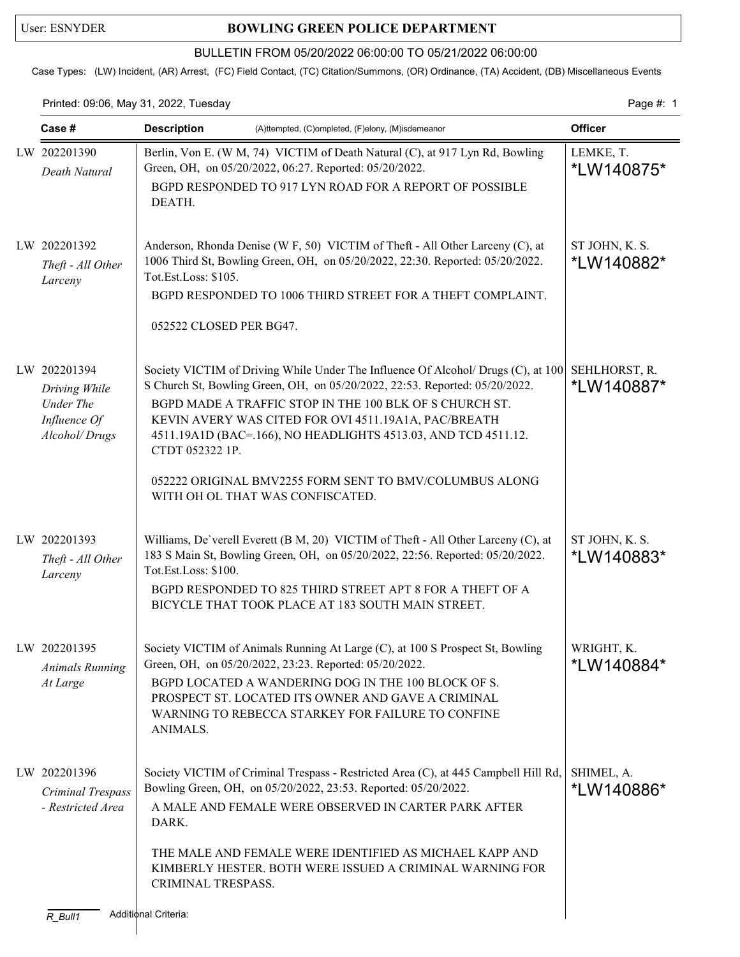## User: ESNYDER **BOWLING GREEN POLICE DEPARTMENT**

## BULLETIN FROM 05/20/2022 06:00:00 TO 05/21/2022 06:00:00

Case Types: (LW) Incident, (AR) Arrest, (FC) Field Contact, (TC) Citation/Summons, (OR) Ordinance, (TA) Accident, (DB) Miscellaneous Events

Printed: 09:06, May 31, 2022, Tuesday Page #: 1

|                                    | Case #                                                                             | <b>Description</b>                                  | (A)ttempted, (C)ompleted, (F)elony, (M)isdemeanor                                                                                                                                                                                                                                                                                                                                                                              | <b>Officer</b>               |  |  |
|------------------------------------|------------------------------------------------------------------------------------|-----------------------------------------------------|--------------------------------------------------------------------------------------------------------------------------------------------------------------------------------------------------------------------------------------------------------------------------------------------------------------------------------------------------------------------------------------------------------------------------------|------------------------------|--|--|
|                                    | LW 202201390<br>Death Natural                                                      | DEATH.                                              | Berlin, Von E. (W M, 74) VICTIM of Death Natural (C), at 917 Lyn Rd, Bowling<br>Green, OH, on 05/20/2022, 06:27. Reported: 05/20/2022.<br>BGPD RESPONDED TO 917 LYN ROAD FOR A REPORT OF POSSIBLE                                                                                                                                                                                                                              | LEMKE, T.<br>*LW140875*      |  |  |
|                                    | LW 202201392<br>Theft - All Other<br>Larceny                                       | Tot.Est.Loss: \$105.<br>052522 CLOSED PER BG47.     | Anderson, Rhonda Denise (W F, 50) VICTIM of Theft - All Other Larceny (C), at<br>1006 Third St, Bowling Green, OH, on 05/20/2022, 22:30. Reported: 05/20/2022.<br>BGPD RESPONDED TO 1006 THIRD STREET FOR A THEFT COMPLAINT.                                                                                                                                                                                                   | ST JOHN, K. S.<br>*LW140882* |  |  |
|                                    | LW 202201394<br>Driving While<br><b>Under The</b><br>Influence Of<br>Alcohol/Drugs | CTDT 052322 1P.<br>WITH OH OL THAT WAS CONFISCATED. | Society VICTIM of Driving While Under The Influence Of Alcohol/ Drugs (C), at 100 SEHLHORST, R.<br>S Church St, Bowling Green, OH, on 05/20/2022, 22:53. Reported: 05/20/2022.<br>BGPD MADE A TRAFFIC STOP IN THE 100 BLK OF S CHURCH ST.<br>KEVIN AVERY WAS CITED FOR OVI 4511.19A1A, PAC/BREATH<br>4511.19A1D (BAC=.166), NO HEADLIGHTS 4513.03, AND TCD 4511.12.<br>052222 ORIGINAL BMV2255 FORM SENT TO BMV/COLUMBUS ALONG | *LW140887*                   |  |  |
|                                    | LW 202201393<br>Theft - All Other<br>Larceny                                       | Tot.Est.Loss: \$100.                                | Williams, De'verell Everett (B M, 20) VICTIM of Theft - All Other Larceny (C), at<br>183 S Main St, Bowling Green, OH, on 05/20/2022, 22:56. Reported: 05/20/2022.<br>BGPD RESPONDED TO 825 THIRD STREET APT 8 FOR A THEFT OF A<br>BICYCLE THAT TOOK PLACE AT 183 SOUTH MAIN STREET.                                                                                                                                           | ST JOHN, K. S.<br>*LW140883* |  |  |
|                                    | LW 202201395<br><b>Animals Running</b><br>At Large                                 | ANIMALS.                                            | Society VICTIM of Animals Running At Large (C), at 100 S Prospect St, Bowling<br>Green, OH, on 05/20/2022, 23:23. Reported: 05/20/2022.<br>BGPD LOCATED A WANDERING DOG IN THE 100 BLOCK OF S.<br>PROSPECT ST. LOCATED ITS OWNER AND GAVE A CRIMINAL<br>WARNING TO REBECCA STARKEY FOR FAILURE TO CONFINE                                                                                                                      | WRIGHT, K.<br>*LW140884*     |  |  |
|                                    | LW 202201396<br>Criminal Trespass<br>- Restricted Area                             | DARK.<br>CRIMINAL TRESPASS.                         | Society VICTIM of Criminal Trespass - Restricted Area (C), at 445 Campbell Hill Rd,<br>Bowling Green, OH, on 05/20/2022, 23:53. Reported: 05/20/2022.<br>A MALE AND FEMALE WERE OBSERVED IN CARTER PARK AFTER<br>THE MALE AND FEMALE WERE IDENTIFIED AS MICHAEL KAPP AND<br>KIMBERLY HESTER. BOTH WERE ISSUED A CRIMINAL WARNING FOR                                                                                           | SHIMEL, A.<br>*LW140886*     |  |  |
| Additional Criteria:<br>$R_B$ ull1 |                                                                                    |                                                     |                                                                                                                                                                                                                                                                                                                                                                                                                                |                              |  |  |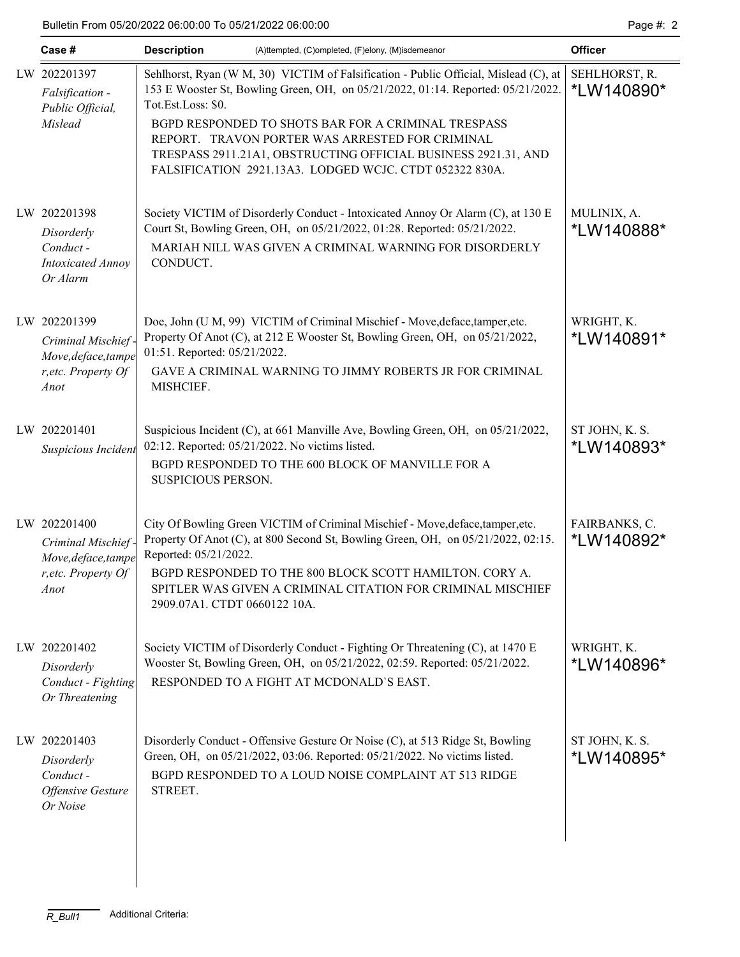| Case #                                                                                   | <b>Description</b><br>(A)ttempted, (C)ompleted, (F)elony, (M)isdemeanor                                                                                                                                                                                                                                                                                                                                                               | <b>Officer</b>                       |
|------------------------------------------------------------------------------------------|---------------------------------------------------------------------------------------------------------------------------------------------------------------------------------------------------------------------------------------------------------------------------------------------------------------------------------------------------------------------------------------------------------------------------------------|--------------------------------------|
| LW 202201397<br>Falsification -<br>Public Official,<br>Mislead                           | Sehlhorst, Ryan (W M, 30) VICTIM of Falsification - Public Official, Mislead (C), at<br>153 E Wooster St, Bowling Green, OH, on 05/21/2022, 01:14. Reported: 05/21/2022.<br>Tot.Est.Loss: \$0.<br>BGPD RESPONDED TO SHOTS BAR FOR A CRIMINAL TRESPASS<br>REPORT. TRAVON PORTER WAS ARRESTED FOR CRIMINAL<br>TRESPASS 2911.21A1, OBSTRUCTING OFFICIAL BUSINESS 2921.31, AND<br>FALSIFICATION 2921.13A3. LODGED WCJC. CTDT 052322 830A. | SEHLHORST, R.<br>*LW140890*          |
| LW 202201398<br>Disorderly<br>Conduct-<br><b>Intoxicated Annoy</b><br>Or Alarm           | Society VICTIM of Disorderly Conduct - Intoxicated Annoy Or Alarm (C), at 130 E<br>Court St, Bowling Green, OH, on 05/21/2022, 01:28. Reported: 05/21/2022.<br>MARIAH NILL WAS GIVEN A CRIMINAL WARNING FOR DISORDERLY<br>CONDUCT.                                                                                                                                                                                                    | MULINIX, A.<br><i>*</i> LW140888*    |
| LW 202201399<br>Criminal Mischief-<br>Move, deface, tampe<br>r, etc. Property Of<br>Anot | Doe, John (U M, 99) VICTIM of Criminal Mischief - Move, deface, tamper, etc.<br>Property Of Anot (C), at 212 E Wooster St, Bowling Green, OH, on 05/21/2022,<br>01:51. Reported: 05/21/2022.<br>GAVE A CRIMINAL WARNING TO JIMMY ROBERTS JR FOR CRIMINAL<br>MISHCIEF.                                                                                                                                                                 | WRIGHT, K.<br>*LW140891*             |
| LW 202201401<br>Suspicious Incident                                                      | Suspicious Incident (C), at 661 Manville Ave, Bowling Green, OH, on 05/21/2022,<br>02:12. Reported: 05/21/2022. No victims listed.<br>BGPD RESPONDED TO THE 600 BLOCK OF MANVILLE FOR A<br>SUSPICIOUS PERSON.                                                                                                                                                                                                                         | ST JOHN, K. S.<br>*LW140893*         |
| LW 202201400<br>Criminal Mischief-<br>Move, deface, tampe<br>r, etc. Property Of<br>Anot | City Of Bowling Green VICTIM of Criminal Mischief - Move, deface, tamper, etc.<br>Property Of Anot (C), at 800 Second St, Bowling Green, OH, on 05/21/2022, 02:15.<br>Reported: 05/21/2022.<br>BGPD RESPONDED TO THE 800 BLOCK SCOTT HAMILTON. CORY A.<br>SPITLER WAS GIVEN A CRIMINAL CITATION FOR CRIMINAL MISCHIEF<br>2909.07A1. CTDT 0660122 10A.                                                                                 | FAIRBANKS, C.<br>*LW140892*          |
| LW 202201402<br>Disorderly<br>Conduct - Fighting<br>Or Threatening                       | Society VICTIM of Disorderly Conduct - Fighting Or Threatening (C), at 1470 E<br>Wooster St, Bowling Green, OH, on 05/21/2022, 02:59. Reported: 05/21/2022.<br>RESPONDED TO A FIGHT AT MCDONALD'S EAST.                                                                                                                                                                                                                               | WRIGHT, K.<br>*LW140896*             |
| LW 202201403<br>Disorderly<br>Conduct-<br>Offensive Gesture<br>Or Noise                  | Disorderly Conduct - Offensive Gesture Or Noise (C), at 513 Ridge St, Bowling<br>Green, OH, on 05/21/2022, 03:06. Reported: 05/21/2022. No victims listed.<br>BGPD RESPONDED TO A LOUD NOISE COMPLAINT AT 513 RIDGE<br>STREET.                                                                                                                                                                                                        | ST JOHN, K. S.<br><i>*</i> LW140895* |